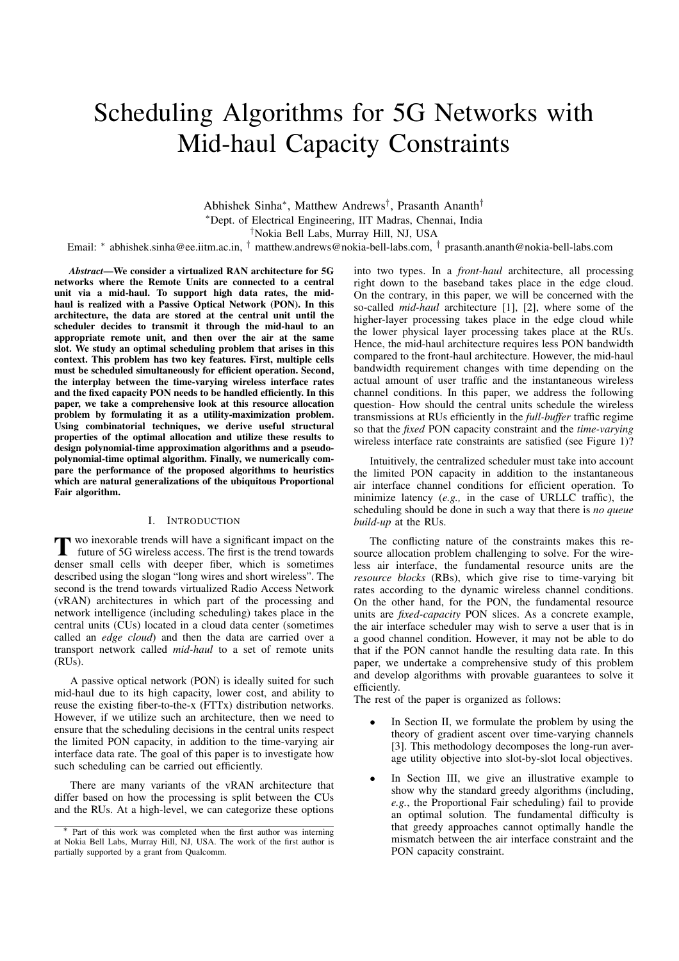# Scheduling Algorithms for 5G Networks with Mid-haul Capacity Constraints

Abhishek Sinha⇤, Matthew Andrews*†*, Prasanth Ananth*†* ⇤Dept. of Electrical Engineering, IIT Madras, Chennai, India

*†*Nokia Bell Labs, Murray Hill, NJ, USA

Email: ⇤ abhishek.sinha@ee.iitm.ac.in, *†* matthew.andrews@nokia-bell-labs.com, *†* prasanth.ananth@nokia-bell-labs.com

*Abstract*—We consider a virtualized RAN architecture for 5G networks where the Remote Units are connected to a central unit via a mid-haul. To support high data rates, the midhaul is realized with a Passive Optical Network (PON). In this architecture, the data are stored at the central unit until the scheduler decides to transmit it through the mid-haul to an appropriate remote unit, and then over the air at the same slot. We study an optimal scheduling problem that arises in this context. This problem has two key features. First, multiple cells must be scheduled simultaneously for efficient operation. Second, the interplay between the time-varying wireless interface rates and the fixed capacity PON needs to be handled efficiently. In this paper, we take a comprehensive look at this resource allocation problem by formulating it as a utility-maximization problem. Using combinatorial techniques, we derive useful structural properties of the optimal allocation and utilize these results to design polynomial-time approximation algorithms and a pseudopolynomial-time optimal algorithm. Finally, we numerically compare the performance of the proposed algorithms to heuristics which are natural generalizations of the ubiquitous Proportional Fair algorithm.

# I. INTRODUCTION

T wo inexorable trends will have a significant impact on the future of 5G wireless access. The first is the trend towards denser small cells with deeper fiber, which is sometimes described using the slogan "long wires and short wireless". The second is the trend towards virtualized Radio Access Network (vRAN) architectures in which part of the processing and network intelligence (including scheduling) takes place in the central units (CUs) located in a cloud data center (sometimes called an *edge cloud*) and then the data are carried over a transport network called *mid-haul* to a set of remote units (RUs).

A passive optical network (PON) is ideally suited for such mid-haul due to its high capacity, lower cost, and ability to reuse the existing fiber-to-the-x (FTTx) distribution networks. However, if we utilize such an architecture, then we need to ensure that the scheduling decisions in the central units respect the limited PON capacity, in addition to the time-varying air interface data rate. The goal of this paper is to investigate how such scheduling can be carried out efficiently.

There are many variants of the vRAN architecture that differ based on how the processing is split between the CUs and the RUs. At a high-level, we can categorize these options into two types. In a *front-haul* architecture, all processing right down to the baseband takes place in the edge cloud. On the contrary, in this paper, we will be concerned with the so-called *mid-haul* architecture [1], [2], where some of the higher-layer processing takes place in the edge cloud while the lower physical layer processing takes place at the RUs. Hence, the mid-haul architecture requires less PON bandwidth compared to the front-haul architecture. However, the mid-haul bandwidth requirement changes with time depending on the actual amount of user traffic and the instantaneous wireless channel conditions. In this paper, we address the following question- How should the central units schedule the wireless transmissions at RUs efficiently in the *full-buffer* traffic regime so that the *fixed* PON capacity constraint and the *time-varying* wireless interface rate constraints are satisfied (see Figure 1)?

Intuitively, the centralized scheduler must take into account the limited PON capacity in addition to the instantaneous air interface channel conditions for efficient operation. To minimize latency (*e.g.,* in the case of URLLC traffic), the scheduling should be done in such a way that there is *no queue build-up* at the RUs.

The conflicting nature of the constraints makes this resource allocation problem challenging to solve. For the wireless air interface, the fundamental resource units are the *resource blocks* (RBs), which give rise to time-varying bit rates according to the dynamic wireless channel conditions. On the other hand, for the PON, the fundamental resource units are *fixed-capacity* PON slices. As a concrete example, the air interface scheduler may wish to serve a user that is in a good channel condition. However, it may not be able to do that if the PON cannot handle the resulting data rate. In this paper, we undertake a comprehensive study of this problem and develop algorithms with provable guarantees to solve it efficiently.

The rest of the paper is organized as follows:

- In Section II, we formulate the problem by using the theory of gradient ascent over time-varying channels [3]. This methodology decomposes the long-run average utility objective into slot-by-slot local objectives.
- In Section III, we give an illustrative example to show why the standard greedy algorithms (including, *e.g.*, the Proportional Fair scheduling) fail to provide an optimal solution. The fundamental difficulty is that greedy approaches cannot optimally handle the mismatch between the air interface constraint and the PON capacity constraint.

Part of this work was completed when the first author was interning at Nokia Bell Labs, Murray Hill, NJ, USA. The work of the first author is partially supported by a grant from Qualcomm.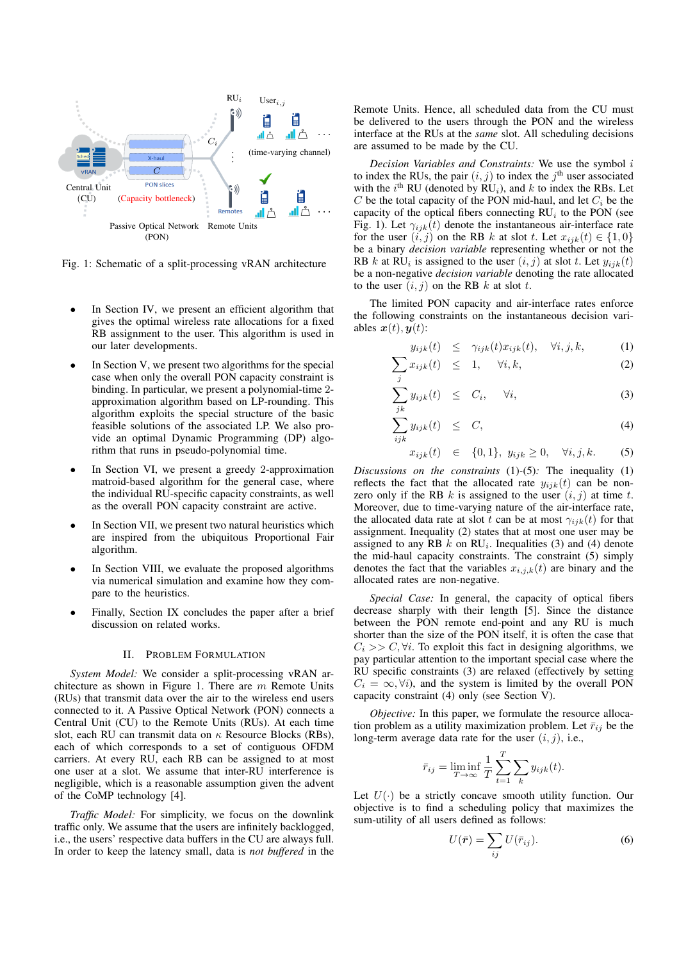

Fig. 1: Schematic of a split-processing vRAN architecture

- In Section IV, we present an efficient algorithm that gives the optimal wireless rate allocations for a fixed RB assignment to the user. This algorithm is used in our later developments.
- In Section V, we present two algorithms for the special case when only the overall PON capacity constraint is binding. In particular, we present a polynomial-time 2 approximation algorithm based on LP-rounding. This algorithm exploits the special structure of the basic feasible solutions of the associated LP. We also provide an optimal Dynamic Programming (DP) algorithm that runs in pseudo-polynomial time.
- In Section VI, we present a greedy 2-approximation matroid-based algorithm for the general case, where the individual RU-specific capacity constraints, as well as the overall PON capacity constraint are active.
- In Section VII, we present two natural heuristics which are inspired from the ubiquitous Proportional Fair algorithm.
- In Section VIII, we evaluate the proposed algorithms via numerical simulation and examine how they compare to the heuristics.
- *•* Finally, Section IX concludes the paper after a brief discussion on related works.

# II. PROBLEM FORMULATION

*System Model:* We consider a split-processing vRAN architecture as shown in Figure 1. There are *m* Remote Units (RUs) that transmit data over the air to the wireless end users connected to it. A Passive Optical Network (PON) connects a Central Unit (CU) to the Remote Units (RUs). At each time slot, each RU can transmit data on  $\kappa$  Resource Blocks (RBs), each of which corresponds to a set of contiguous OFDM carriers. At every RU, each RB can be assigned to at most one user at a slot. We assume that inter-RU interference is negligible, which is a reasonable assumption given the advent of the CoMP technology [4].

*Traffic Model:* For simplicity, we focus on the downlink traffic only. We assume that the users are infinitely backlogged, i.e., the users' respective data buffers in the CU are always full. In order to keep the latency small, data is *not buffered* in the Remote Units. Hence, all scheduled data from the CU must be delivered to the users through the PON and the wireless interface at the RUs at the *same* slot. All scheduling decisions are assumed to be made by the CU.

*Decision Variables and Constraints:* We use the symbol *i* to index the RUs, the pair  $(i, j)$  to index the  $j<sup>th</sup>$  user associated with the  $i^{\text{th}}$  RU (denoted by  $\overline{RU}_i$ ), and  $k$  to index the RBs. Let *C* be the total capacity of the PON mid-haul, and let  $C_i$  be the capacity of the optical fibers connecting  $RU<sub>i</sub>$  to the PON (see Fig. 1). Let  $\gamma_{ijk}(t)$  denote the instantaneous air-interface rate for the user  $(i, j)$  on the RB *k* at slot *t*. Let  $x_{ijk}(t) \in \{1, 0\}$ be a binary *decision variable* representing whether or not the RB *k* at RU<sub>i</sub> is assigned to the user  $(i, j)$  at slot *t*. Let  $y_{ijk}(t)$ be a non-negative *decision variable* denoting the rate allocated to the user  $(i, j)$  on the RB  $k$  at slot  $t$ .

The limited PON capacity and air-interface rates enforce the following constraints on the instantaneous decision variables  $x(t)$ ,  $y(t)$ :

$$
y_{ijk}(t) \leq \gamma_{ijk}(t)x_{ijk}(t), \quad \forall i, j, k,
$$
 (1)

$$
\sum_{j} x_{ijk}(t) \leq 1, \quad \forall i, k,
$$
 (2)

$$
\sum_{jk} y_{ijk}(t) \leq C_i, \quad \forall i,
$$
\n(3)

$$
\sum_{ijk} y_{ijk}(t) \leq C, \tag{4}
$$

$$
x_{ijk}(t) \in \{0,1\}, y_{ijk} \ge 0, \forall i, j, k.
$$
 (5)

*Discussions on the constraints* (1)*-*(5)*:* The inequality (1) reflects the fact that the allocated rate  $y_{ijk}(t)$  can be nonzero only if the RB  $k$  is assigned to the user  $(i, j)$  at time  $t$ . Moreover, due to time-varying nature of the air-interface rate, the allocated data rate at slot *t* can be at most  $\gamma_{ijk}(t)$  for that assignment. Inequality (2) states that at most one user may be assigned to any RB  $k$  on RU<sub>i</sub>. Inequalities (3) and (4) denote the mid-haul capacity constraints. The constraint (5) simply denotes the fact that the variables  $x_{i,j,k}(t)$  are binary and the allocated rates are non-negative.

*Special Case:* In general, the capacity of optical fibers decrease sharply with their length [5]. Since the distance between the PON remote end-point and any RU is much shorter than the size of the PON itself, it is often the case that  $C_i$  >>  $C, \forall i$ . To exploit this fact in designing algorithms, we pay particular attention to the important special case where the RU specific constraints (3) are relaxed (effectively by setting  $C_i = \infty$ ,  $\forall i$ , and the system is limited by the overall PON capacity constraint (4) only (see Section V).

*Objective:* In this paper, we formulate the resource allocation problem as a utility maximization problem. Let  $\bar{r}_{ij}$  be the long-term average data rate for the user (*i, j*), i.e.,

$$
\bar{r}_{ij} = \liminf_{T \to \infty} \frac{1}{T} \sum_{t=1}^{T} \sum_{k} y_{ijk}(t).
$$

Let  $U(\cdot)$  be a strictly concave smooth utility function. Our objective is to find a scheduling policy that maximizes the sum-utility of all users defined as follows:

$$
U(\bar{r}) = \sum_{ij} U(\bar{r}_{ij}).
$$
\n(6)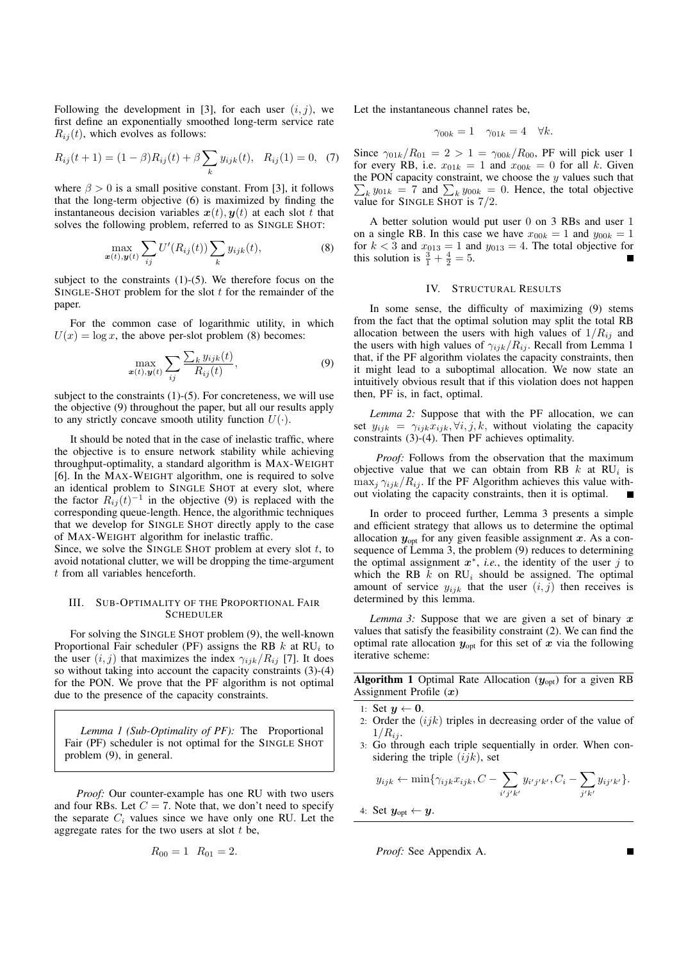Following the development in [3], for each user  $(i, j)$ , we first define an exponentially smoothed long-term service rate  $R_{ij}(t)$ , which evolves as follows:

$$
R_{ij}(t+1) = (1 - \beta)R_{ij}(t) + \beta \sum_{k} y_{ijk}(t), \quad R_{ij}(1) = 0, \tag{7}
$$

where  $\beta > 0$  is a small positive constant. From [3], it follows that the long-term objective (6) is maximized by finding the instantaneous decision variables  $x(t)$ ,  $y(t)$  at each slot *t* that solves the following problem, referred to as SINGLE SHOT:

$$
\max_{\boldsymbol{x}(t),\boldsymbol{y}(t)} \sum_{ij} U'(R_{ij}(t)) \sum_{k} y_{ijk}(t), \tag{8}
$$

subject to the constraints (1)-(5). We therefore focus on the SINGLE-SHOT problem for the slot *t* for the remainder of the paper.

For the common case of logarithmic utility, in which  $U(x) = \log x$ , the above per-slot problem (8) becomes:

$$
\max_{\boldsymbol{x}(t),\boldsymbol{y}(t)} \sum_{ij} \frac{\sum_{k} y_{ijk}(t)}{R_{ij}(t)},
$$
\n(9)

subject to the constraints  $(1)-(5)$ . For concreteness, we will use the objective (9) throughout the paper, but all our results apply to any strictly concave smooth utility function  $U(\cdot)$ .

It should be noted that in the case of inelastic traffic, where the objective is to ensure network stability while achieving throughput-optimality, a standard algorithm is MAX-WEIGHT [6]. In the MAX-WEIGHT algorithm, one is required to solve an identical problem to SINGLE SHOT at every slot, where the factor  $R_{ij}(t)^{-1}$  in the objective (9) is replaced with the corresponding queue-length. Hence, the algorithmic techniques that we develop for SINGLE SHOT directly apply to the case of MAX-WEIGHT algorithm for inelastic traffic.

Since, we solve the SINGLE SHOT problem at every slot *t*, to avoid notational clutter, we will be dropping the time-argument *t* from all variables henceforth.

# III. SUB-OPTIMALITY OF THE PROPORTIONAL FAIR **SCHEDULER**

For solving the SINGLE SHOT problem (9), the well-known Proportional Fair scheduler (PF) assigns the RB *k* at RU*<sup>i</sup>* to the user  $(i, j)$  that maximizes the index  $\gamma_{ijk}/R_{ij}$  [7]. It does so without taking into account the capacity constraints (3)-(4) for the PON. We prove that the PF algorithm is not optimal due to the presence of the capacity constraints.

*Lemma 1 (Sub-Optimality of PF):* The Proportional Fair (PF) scheduler is not optimal for the SINGLE SHOT problem (9), in general.

*Proof:* Our counter-example has one RU with two users and four RBs. Let  $C = 7$ . Note that, we don't need to specify the separate *C<sup>i</sup>* values since we have only one RU. Let the aggregate rates for the two users at slot *t* be,

$$
R_{00} = 1 \quad R_{01} = 2.
$$

Let the instantaneous channel rates be,

$$
\gamma_{00k} = 1 \quad \gamma_{01k} = 4 \quad \forall k.
$$

Since  $\gamma_{01k}/R_{01} = 2 > 1 = \gamma_{00k}/R_{00}$ , PF will pick user 1 for every RB, i.e.  $x_{01k} = 1$  and  $x_{00k} = 0$  for all *k*. Given the PON capacity constraint, we choose the *y* values such that  $\sum_{k} y_{01k} = 7$  and  $\sum_{k} y_{00k} = 0$ . Hence, the total objective value for SINGLE SHOT is 7*/*2.

A better solution would put user 0 on 3 RBs and user 1 on a single RB. In this case we have  $x_{00k} = 1$  and  $y_{00k} = 1$ for  $k < 3$  and  $x_{013} = 1$  and  $y_{013} = 4$ . The total objective for this solution is  $\frac{3}{1} + \frac{4}{2} = 5$ .

# IV. STRUCTURAL RESULTS

In some sense, the difficulty of maximizing (9) stems from the fact that the optimal solution may split the total RB allocation between the users with high values of  $1/R_{ij}$  and the users with high values of  $\gamma_{ijk}/R_{ij}$ . Recall from Lemma 1 that, if the PF algorithm violates the capacity constraints, then it might lead to a suboptimal allocation. We now state an intuitively obvious result that if this violation does not happen then, PF is, in fact, optimal.

*Lemma 2:* Suppose that with the PF allocation, we can set  $y_{ijk} = \gamma_{ijk} x_{ijk}, \forall i, j, k$ , without violating the capacity constraints (3)-(4). Then PF achieves optimality.

*Proof:* Follows from the observation that the maximum objective value that we can obtain from RB  $k$  at RU<sub>i</sub> is  $\max_i \gamma_{ijk}/R_i$ . If the PF Algorithm achieves this value without violating the capacity constraints, then it is optimal.

In order to proceed further, Lemma 3 presents a simple and efficient strategy that allows us to determine the optimal allocation *y*opt for any given feasible assignment *x*. As a consequence of Lemma 3, the problem (9) reduces to determining the optimal assignment  $x^*$ , *i.e.*, the identity of the user *j* to which the RB  $k$  on RU<sub>i</sub> should be assigned. The optimal amount of service  $y_{ijk}$  that the user  $(i, j)$  then receives is determined by this lemma.

*Lemma 3:* Suppose that we are given a set of binary *x* values that satisfy the feasibility constraint (2). We can find the optimal rate allocation  $y_{opt}$  for this set of  $x$  via the following iterative scheme:

**Algorithm 1** Optimal Rate Allocation ( $y_{opt}$ ) for a given RB Assignment Profile (*x*)

1: Set  $u \leftarrow 0$ .

- 2: Order the (*ijk*) triples in decreasing order of the value of  $1/R_{ij}$ .
- 3: Go through each triple sequentially in order. When considering the triple (*ijk*), set

$$
y_{ijk} \leftarrow \min\{\gamma_{ijk}x_{ijk}, C - \sum_{i'j'k'} y_{i'j'k'}, C_i - \sum_{j'k'} y_{ij'k'}\}.
$$

4: Set  $y_{opt} \leftarrow y$ .

*Proof:* See Appendix A.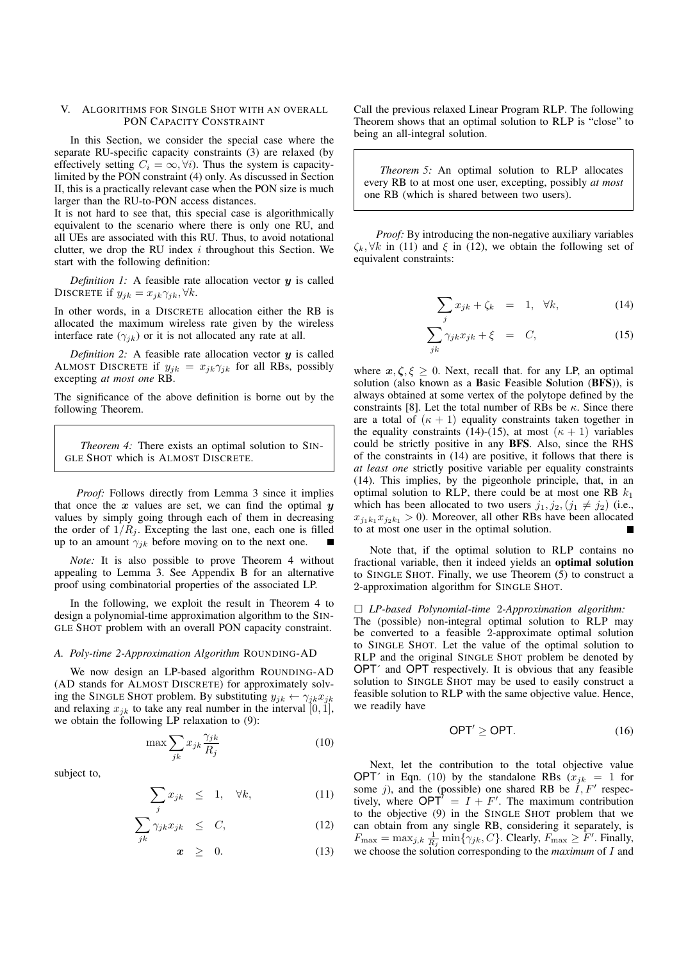# V. ALGORITHMS FOR SINGLE SHOT WITH AN OVERALL PON CAPACITY CONSTRAINT

In this Section, we consider the special case where the separate RU-specific capacity constraints (3) are relaxed (by effectively setting  $C_i = \infty, \forall i$ . Thus the system is capacitylimited by the PON constraint (4) only. As discussed in Section II, this is a practically relevant case when the PON size is much larger than the RU-to-PON access distances.

It is not hard to see that, this special case is algorithmically equivalent to the scenario where there is only one RU, and all UEs are associated with this RU. Thus, to avoid notational clutter, we drop the RU index *i* throughout this Section. We start with the following definition:

*Definition 1:* A feasible rate allocation vector *y* is called DISCRETE if  $y_{jk} = x_{jk}\gamma_{jk}, \forall k$ .

In other words, in a DISCRETE allocation either the RB is allocated the maximum wireless rate given by the wireless interface rate  $(\gamma_{ik})$  or it is not allocated any rate at all.

*Definition 2:* A feasible rate allocation vector *y* is called ALMOST DISCRETE if  $y_{jk} = x_{jk} \gamma_{jk}$  for all RBs, possibly excepting *at most one* RB.

The significance of the above definition is borne out by the following Theorem.

*Theorem 4:* There exists an optimal solution to SIN-GLE SHOT which is ALMOST DISCRETE.

*Proof:* Follows directly from Lemma 3 since it implies that once the  $x$  values are set, we can find the optimal  $y$ values by simply going through each of them in decreasing the order of  $1/R_j$ . Excepting the last one, each one is filled up to an amount  $\gamma_{jk}$  before moving on to the next one.

*Note:* It is also possible to prove Theorem 4 without appealing to Lemma 3. See Appendix B for an alternative proof using combinatorial properties of the associated LP.

In the following, we exploit the result in Theorem 4 to design a polynomial-time approximation algorithm to the SIN-GLE SHOT problem with an overall PON capacity constraint.

## *A. Poly-time 2-Approximation Algorithm* ROUNDING-AD

We now design an LP-based algorithm ROUNDING-AD (AD stands for ALMOST DISCRETE) for approximately solving the SINGLE SHOT problem. By substituting  $y_{jk} \leftarrow \gamma_{jk} x_{jk}$ and relaxing  $x_{jk}$  to take any real number in the interval  $[0, 1]$ , we obtain the following LP relaxation to (9):

$$
\max \sum_{jk} x_{jk} \frac{\gamma_{jk}}{R_j} \tag{10}
$$

subject to,

$$
\sum_{j} x_{jk} \leq 1, \quad \forall k,
$$
\n(11)

$$
\sum_{jk} \gamma_{jk} x_{jk} \leq C, \tag{12}
$$

$$
x \geq 0. \tag{13}
$$

Call the previous relaxed Linear Program RLP. The following Theorem shows that an optimal solution to RLP is "close" to being an all-integral solution.

*Theorem 5:* An optimal solution to RLP allocates every RB to at most one user, excepting, possibly *at most* one RB (which is shared between two users).

*Proof:* By introducing the non-negative auxiliary variables  $\zeta_k, \forall k$  in (11) and  $\xi$  in (12), we obtain the following set of equivalent constraints:

$$
\sum_{j} x_{jk} + \zeta_k = 1, \quad \forall k,
$$
 (14)

$$
\sum_{jk} \gamma_{jk} x_{jk} + \xi = C, \qquad (15)
$$

where  $x, \zeta, \xi \geq 0$ . Next, recall that. for any LP, an optimal solution (also known as a Basic Feasible Solution (BFS)), is always obtained at some vertex of the polytope defined by the constraints [8]. Let the total number of RBs be  $\kappa$ . Since there are a total of  $(\kappa + 1)$  equality constraints taken together in the equality constraints (14)-(15), at most  $(\kappa + 1)$  variables could be strictly positive in any BFS. Also, since the RHS of the constraints in (14) are positive, it follows that there is *at least one* strictly positive variable per equality constraints (14). This implies, by the pigeonhole principle, that, in an optimal solution to RLP, there could be at most one RB  $k_1$ which has been allocated to two users  $j_1, j_2, (j_1 \neq j_2)$  (i.e.,  $x_{j_1k_1}x_{j_2k_1} > 0$ ). Moreover, all other RBs have been allocated to at most one user in the optimal solution.

Note that, if the optimal solution to RLP contains no fractional variable, then it indeed yields an optimal solution to SINGLE SHOT. Finally, we use Theorem (5) to construct a 2-approximation algorithm for SINGLE SHOT.

# ⇤ *LP-based Polynomial-time* 2*-Approximation algorithm:*

The (possible) non-integral optimal solution to RLP may be converted to a feasible 2-approximate optimal solution to SINGLE SHOT. Let the value of the optimal solution to RLP and the original SINGLE SHOT problem be denoted by OPT´ and OPT respectively. It is obvious that any feasible solution to SINGLE SHOT may be used to easily construct a feasible solution to RLP with the same objective value. Hence, we readily have

$$
\mathsf{OPT}' \geq \mathsf{OPT}.\tag{16}
$$

Next, let the contribution to the total objective value OPT<sup> $\prime$ </sup> in Eqn. (10) by the standalone RBs ( $x_{jk} = 1$  for some  $j$ ), and the (possible) one shared RB be  $I, F'$  respectively, where  $OPT' = I + F'$ . The maximum contribution to the objective (9) in the SINGLE SHOT problem that we can obtain from any single RB, considering it separately, is  $F_{\text{max}} = \max_{j,k} \frac{1}{R_j} \min{\{\gamma_{jk}, C\}}$ . Clearly,  $F_{\text{max}} \geq \tilde{F}'$ . Finally, we choose the solution corresponding to the *maximum* of *I* and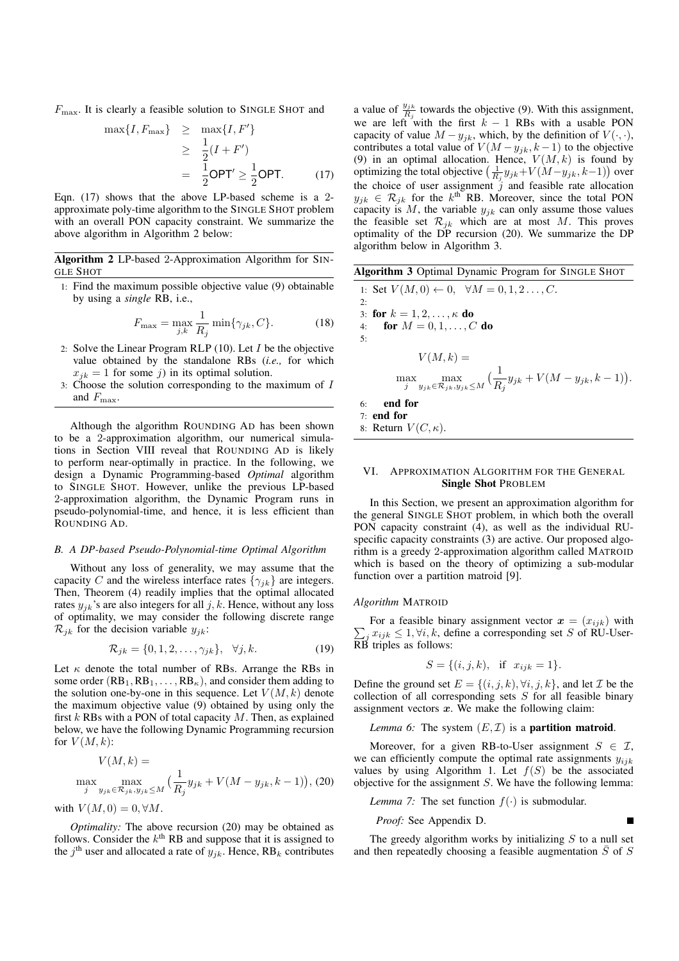*F*<sub>max</sub>. It is clearly a feasible solution to SINGLE SHOT and

$$
\begin{aligned}\n\max\{I, F_{\text{max}}\} &\geq \max\{I, F'\} \\
&\geq \frac{1}{2}(I + F') \\
&= \frac{1}{2}\text{OPT}' \geq \frac{1}{2}\text{OPT}.\n\end{aligned}
$$
\n(17)

Eqn. (17) shows that the above LP-based scheme is a 2 approximate poly-time algorithm to the SINGLE SHOT problem with an overall PON capacity constraint. We summarize the above algorithm in Algorithm 2 below:

Algorithm 2 LP-based 2-Approximation Algorithm for SIN-GLE SHOT

1: Find the maximum possible objective value (9) obtainable by using a *single* RB, i.e.,

$$
F_{\text{max}} = \max_{j,k} \frac{1}{R_j} \min\{\gamma_{jk}, C\}.
$$
 (18)

- 2: Solve the Linear Program RLP (10). Let *I* be the objective value obtained by the standalone RBs (*i.e.,* for which  $x_{jk} = 1$  for some *j*) in its optimal solution.
- 3: Choose the solution corresponding to the maximum of *I* and  $F_{\text{max}}$ .

Although the algorithm ROUNDING AD has been shown to be a 2-approximation algorithm, our numerical simulations in Section VIII reveal that ROUNDING AD is likely to perform near-optimally in practice. In the following, we design a Dynamic Programming-based *Optimal* algorithm to SINGLE SHOT. However, unlike the previous LP-based 2-approximation algorithm, the Dynamic Program runs in pseudo-polynomial-time, and hence, it is less efficient than ROUNDING AD.

## *B. A DP-based Pseudo-Polynomial-time Optimal Algorithm*

Without any loss of generality, we may assume that the capacity *C* and the wireless interface rates  $\{\gamma_{ik}\}\$ are integers. Then, Theorem (4) readily implies that the optimal allocated rates  $y_{jk}$ 's are also integers for all  $j, k$ . Hence, without any loss of optimality, we may consider the following discrete range  $\mathcal{R}_{jk}$  for the decision variable  $y_{jk}$ :

$$
\mathcal{R}_{jk} = \{0, 1, 2, \dots, \gamma_{jk}\}, \quad \forall j, k. \tag{19}
$$

Let  $\kappa$  denote the total number of RBs. Arrange the RBs in some order  $(RB_1, RB_1, \ldots, RB_\kappa)$ , and consider them adding to the solution one-by-one in this sequence. Let  $V(M, k)$  denote the maximum objective value (9) obtained by using only the first *k* RBs with a PON of total capacity *M*. Then, as explained below, we have the following Dynamic Programming recursion for  $V(M,k)$ :

$$
V(M,k) = \max_{j} \max_{y_{jk} \in \mathcal{R}_{jk}, y_{jk} \le M} \left( \frac{1}{R_j} y_{jk} + V(M - y_{jk}, k - 1) \right), (20)
$$

with  $V(M, 0) = 0, \forall M$ .

*Optimality:* The above recursion (20) may be obtained as follows. Consider the  $k<sup>th</sup>$  RB and suppose that it is assigned to the  $j^{\text{th}}$  user and allocated a rate of  $y_{jk}$ . Hence,  $RB_k$  contributes

a value of  $\frac{y_{jk}}{R_j}$  towards the objective (9). With this assignment, we are left with the first  $k - 1$  RBs with a usable PON capacity of value  $M - y_{jk}$ , which, by the definition of  $V(\cdot, \cdot)$ , contributes a total value of  $V(M - y_{jk}, k - 1)$  to the objective (9) in an optimal allocation. Hence,  $V(M, k)$  is found by optimizing the total objective  $\left(\frac{1}{R_j}y_{jk}+V(M-y'_{jk},k-1)\right)$  over the choice of user assignment  $\hat{j}$  and feasible rate allocation  $y_{jk} \in \mathcal{R}_{jk}$  for the *k*<sup>th</sup> RB. Moreover, since the total PON capacity is  $M$ , the variable  $y_{jk}$  can only assume those values the feasible set  $\mathcal{R}_{jk}$  which are at most *M*. This proves optimality of the DP recursion (20). We summarize the DP algorithm below in Algorithm 3.

Algorithm 3 Optimal Dynamic Program for SINGLE SHOT  
\n1: Set 
$$
V(M,0) \leftarrow 0
$$
,  $\forall M = 0, 1, 2..., C$ .  
\n2:   
\n3: **for**  $k = 1, 2, ..., \kappa$  **do**  
\n4: **for**  $M = 0, 1, ..., C$  **do**  
\n5:  
\n
$$
V(M, k) = \max_{\substack{j \ jk \in \mathcal{R}_{jk}, y_{jk} \leq M}} \left(\frac{1}{R_j} y_{jk} + V(M - y_{jk}, k - 1)\right).
$$
  
\n6: **end for**  
\n7: **end for**  
\n8: Return  $V(C, \kappa)$ .

# VI. APPROXIMATION ALGORITHM FOR THE GENERAL Single Shot PROBLEM

In this Section, we present an approximation algorithm for the general SINGLE SHOT problem, in which both the overall PON capacity constraint (4), as well as the individual RUspecific capacity constraints (3) are active. Our proposed algorithm is a greedy 2-approximation algorithm called MATROID which is based on the theory of optimizing a sub-modular function over a partition matroid [9].

#### *Algorithm* MATROID

 $\sum_j x_{ijk} \leq 1, \forall i, k$ , define a corresponding set *S* of RU-User-<br>RB triples as follows: For a feasible binary assignment vector  $x = (x_{ijk})$  with

$$
S = \{(i, j, k), \text{ if } x_{ijk} = 1\}.
$$

Define the ground set  $E = \{(i, j, k), \forall i, j, k\}$ , and let *I* be the collection of all corresponding sets *S* for all feasible binary assignment vectors  $x$ . We make the following claim:

*Lemma 6:* The system  $(E, \mathcal{I})$  is a **partition matroid.** 

Moreover, for a given RB-to-User assignment  $S \in \mathcal{I}$ , we can efficiently compute the optimal rate assignments *yijk* values by using Algorithm 1. Let  $f(S)$  be the associated objective for the assignment *S*. We have the following lemma:

*Lemma 7:* The set function  $f(\cdot)$  is submodular.

*Proof:* See Appendix D.

The greedy algorithm works by initializing *S* to a null set and then repeatedly choosing a feasible augmentation  $\overline{S}$  of *S*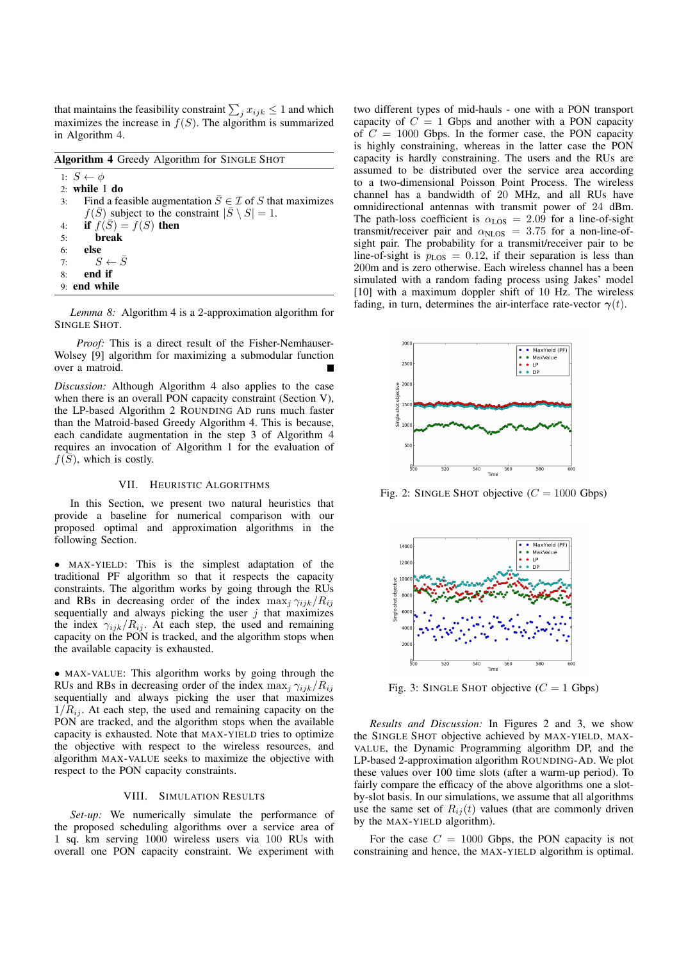that maintains the feasibility constraint  $\sum_j x_{ijk} \leq 1$  and which maximizes the increase in  $f(S)$ . The algorithm is summarized in Algorithm 4.

Algorithm 4 Greedy Algorithm for SINGLE SHOT

1:  $S \leftarrow \phi$ 2: while 1 do 3: Find a feasible augmentation  $\overline{S} \in \mathcal{I}$  of *S* that maximizes  $f(\overline{S})$  subject to the constraint  $|\overline{S} \setminus S| = 1$ . 4: if  $f(S) = f(S)$  then 5: break 6: else 7:  $S \leftarrow \overline{S}$ <br>8: **end if** end if 9: end while

*Lemma 8:* Algorithm 4 is a 2-approximation algorithm for SINGLE SHOT.

*Proof:* This is a direct result of the Fisher-Nemhauser-Wolsey [9] algorithm for maximizing a submodular function over a matroid.

*Discussion:* Although Algorithm 4 also applies to the case when there is an overall PON capacity constraint (Section V), the LP-based Algorithm 2 ROUNDING AD runs much faster than the Matroid-based Greedy Algorithm 4. This is because, each candidate augmentation in the step 3 of Algorithm 4 requires an invocation of Algorithm 1 for the evaluation of  $f(S)$ , which is costly.

## VII. HEURISTIC ALGORITHMS

In this Section, we present two natural heuristics that provide a baseline for numerical comparison with our proposed optimal and approximation algorithms in the following Section.

*•* MAX-YIELD: This is the simplest adaptation of the traditional PF algorithm so that it respects the capacity constraints. The algorithm works by going through the RUs and RBs in decreasing order of the index  $\max_j \gamma_{ijk}/R_{ij}$ sequentially and always picking the user *j* that maximizes the index  $\gamma_{ijk}/R_{ij}$ . At each step, the used and remaining capacity on the PON is tracked, and the algorithm stops when the available capacity is exhausted.

*•* MAX-VALUE: This algorithm works by going through the RUs and RBs in decreasing order of the index  $\max_i \gamma_{ijk}/R_i$ sequentially and always picking the user that maximizes  $1/R_{ij}$ . At each step, the used and remaining capacity on the PON are tracked, and the algorithm stops when the available capacity is exhausted. Note that MAX-YIELD tries to optimize the objective with respect to the wireless resources, and algorithm MAX-VALUE seeks to maximize the objective with respect to the PON capacity constraints.

## VIII. SIMULATION RESULTS

*Set-up:* We numerically simulate the performance of the proposed scheduling algorithms over a service area of 1 sq. km serving 1000 wireless users via 100 RUs with overall one PON capacity constraint. We experiment with two different types of mid-hauls - one with a PON transport capacity of  $C = 1$  Gbps and another with a PON capacity of  $C = 1000$  Gbps. In the former case, the PON capacity is highly constraining, whereas in the latter case the PON capacity is hardly constraining. The users and the RUs are assumed to be distributed over the service area according to a two-dimensional Poisson Point Process. The wireless channel has a bandwidth of 20 MHz, and all RUs have omnidirectional antennas with transmit power of 24 dBm. The path-loss coefficient is  $\alpha_{LOS} = 2.09$  for a line-of-sight transmit/receiver pair and  $\alpha_{\text{NLOS}} = 3.75$  for a non-line-ofsight pair. The probability for a transmit/receiver pair to be line-of-sight is  $p_{LOS} = 0.12$ , if their separation is less than 200m and is zero otherwise. Each wireless channel has a been simulated with a random fading process using Jakes' model [10] with a maximum doppler shift of 10 Hz. The wireless fading, in turn, determines the air-interface rate-vector  $\gamma(t)$ .



Fig. 2: SINGLE SHOT objective  $(C = 1000 \text{ Gbps})$ 



Fig. 3: SINGLE SHOT objective  $(C = 1 \text{ Gbps})$ 

*Results and Discussion:* In Figures 2 and 3, we show the SINGLE SHOT objective achieved by MAX-YIELD, MAX-VALUE, the Dynamic Programming algorithm DP, and the LP-based 2-approximation algorithm ROUNDING-AD. We plot these values over 100 time slots (after a warm-up period). To fairly compare the efficacy of the above algorithms one a slotby-slot basis. In our simulations, we assume that all algorithms use the same set of  $R_{ij}(t)$  values (that are commonly driven by the MAX-YIELD algorithm).

For the case  $C = 1000$  Gbps, the PON capacity is not constraining and hence, the MAX-YIELD algorithm is optimal.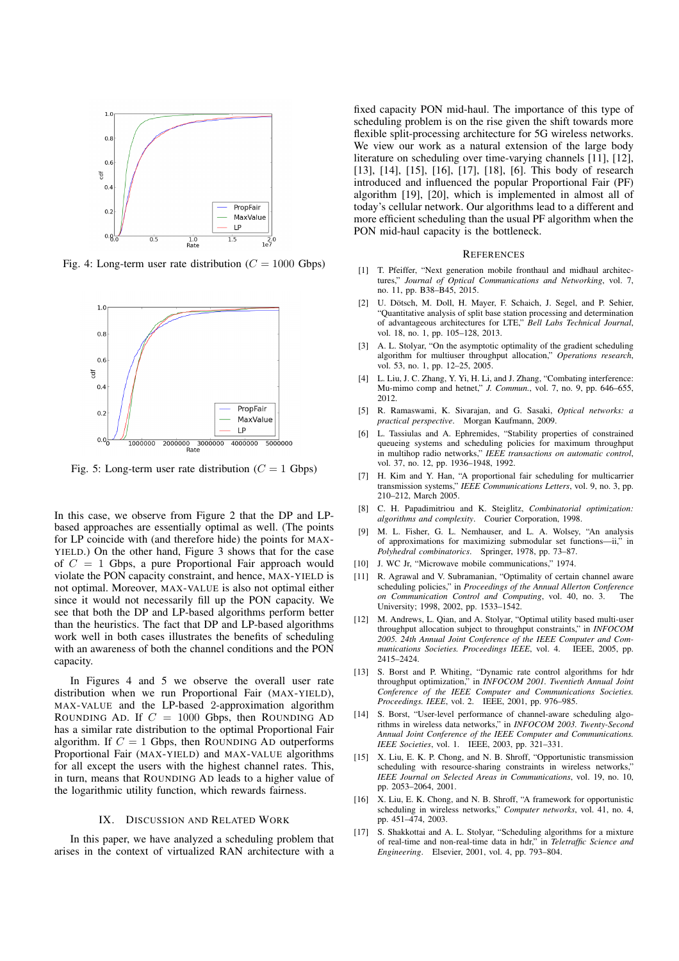

Fig. 4: Long-term user rate distribution  $(C = 1000 \text{ Gbps})$ 



Fig. 5: Long-term user rate distribution  $(C = 1 \text{ Gbps})$ 

In this case, we observe from Figure 2 that the DP and LPbased approaches are essentially optimal as well. (The points for LP coincide with (and therefore hide) the points for MAX-YIELD.) On the other hand, Figure 3 shows that for the case of *C* = 1 Gbps, a pure Proportional Fair approach would violate the PON capacity constraint, and hence, MAX-YIELD is not optimal. Moreover, MAX-VALUE is also not optimal either since it would not necessarily fill up the PON capacity. We see that both the DP and LP-based algorithms perform better than the heuristics. The fact that DP and LP-based algorithms work well in both cases illustrates the benefits of scheduling with an awareness of both the channel conditions and the PON capacity.

In Figures 4 and 5 we observe the overall user rate distribution when we run Proportional Fair (MAX-YIELD), MAX-VALUE and the LP-based 2-approximation algorithm ROUNDING AD. If  $C = 1000$  Gbps, then ROUNDING AD has a similar rate distribution to the optimal Proportional Fair algorithm. If  $C = 1$  Gbps, then ROUNDING AD outperforms Proportional Fair (MAX-YIELD) and MAX-VALUE algorithms for all except the users with the highest channel rates. This, in turn, means that ROUNDING AD leads to a higher value of the logarithmic utility function, which rewards fairness.

# IX. DISCUSSION AND RELATED WORK

In this paper, we have analyzed a scheduling problem that arises in the context of virtualized RAN architecture with a fixed capacity PON mid-haul. The importance of this type of scheduling problem is on the rise given the shift towards more flexible split-processing architecture for 5G wireless networks. We view our work as a natural extension of the large body literature on scheduling over time-varying channels [11], [12], [13], [14], [15], [16], [17], [18], [6]. This body of research introduced and influenced the popular Proportional Fair (PF) algorithm [19], [20], which is implemented in almost all of today's cellular network. Our algorithms lead to a different and more efficient scheduling than the usual PF algorithm when the PON mid-haul capacity is the bottleneck.

# **REFERENCES**

- [1] T. Pfeiffer, "Next generation mobile fronthaul and midhaul architectures," *Journal of Optical Communications and Networking*, vol. 7, no. 11, pp. B38–B45, 2015.
- U. Dötsch, M. Doll, H. Mayer, F. Schaich, J. Segel, and P. Sehier, "Quantitative analysis of split base station processing and determination of advantageous architectures for LTE," *Bell Labs Technical Journal*, vol. 18, no. 1, pp. 105–128, 2013.
- [3] A. L. Stolyar, "On the asymptotic optimality of the gradient scheduling algorithm for multiuser throughput allocation," *Operations research*, vol. 53, no. 1, pp. 12–25, 2005.
- [4] L. Liu, J. C. Zhang, Y. Yi, H. Li, and J. Zhang, "Combating interference: Mu-mimo comp and hetnet," *J. Commun.*, vol. 7, no. 9, pp. 646–655, 2012.
- [5] R. Ramaswami, K. Sivarajan, and G. Sasaki, *Optical networks: a practical perspective*. Morgan Kaufmann, 2009.
- [6] L. Tassiulas and A. Ephremides, "Stability properties of constrained queueing systems and scheduling policies for maximum throughput in multihop radio networks," *IEEE transactions on automatic control*, vol. 37, no. 12, pp. 1936–1948, 1992.
- [7] H. Kim and Y. Han, "A proportional fair scheduling for multicarrier transmission systems," *IEEE Communications Letters*, vol. 9, no. 3, pp. 210–212, March 2005.
- [8] C. H. Papadimitriou and K. Steiglitz, *Combinatorial optimization: algorithms and complexity*. Courier Corporation, 1998.
- [9] M. L. Fisher, G. L. Nemhauser, and L. A. Wolsey, "An analysis of approximations for maximizing submodular set functions—ii," in *Polyhedral combinatorics*. Springer, 1978, pp. 73–87.
- [10] J. WC Jr, "Microwave mobile communications," 1974.
- R. Agrawal and V. Subramanian, "Optimality of certain channel aware scheduling policies," in *Proceedings of the Annual Allerton Conference on Communication Control and Computing*, vol. 40, no. 3. The University; 1998, 2002, pp. 1533–1542.
- [12] M. Andrews, L. Qian, and A. Stolyar, "Optimal utility based multi-user throughput allocation subject to throughput constraints," in *INFOCOM 2005. 24th Annual Joint Conference of the IEEE Computer and Communications Societies. Proceedings IEEE*, vol. 4. IEEE, 2005, pp. 2415–2424.
- [13] S. Borst and P. Whiting, "Dynamic rate control algorithms for hdr throughput optimization," in *INFOCOM 2001. Twentieth Annual Joint Conference of the IEEE Computer and Communications Societies. Proceedings. IEEE*, vol. 2. IEEE, 2001, pp. 976–985.
- [14] S. Borst, "User-level performance of channel-aware scheduling algorithms in wireless data networks," in *INFOCOM 2003. Twenty-Second Annual Joint Conference of the IEEE Computer and Communications. IEEE Societies*, vol. 1. IEEE, 2003, pp. 321–331.
- [15] X. Liu, E. K. P. Chong, and N. B. Shroff, "Opportunistic transmission scheduling with resource-sharing constraints in wireless networks," *IEEE Journal on Selected Areas in Communications*, vol. 19, no. 10, pp. 2053–2064, 2001.
- [16] X. Liu, E. K. Chong, and N. B. Shroff, "A framework for opportunistic scheduling in wireless networks," *Computer networks*, vol. 41, no. 4, pp. 451–474, 2003.
- [17] S. Shakkottai and A. L. Stolyar, "Scheduling algorithms for a mixture of real-time and non-real-time data in hdr," in *Teletraffic Science and Engineering*. Elsevier, 2001, vol. 4, pp. 793–804.